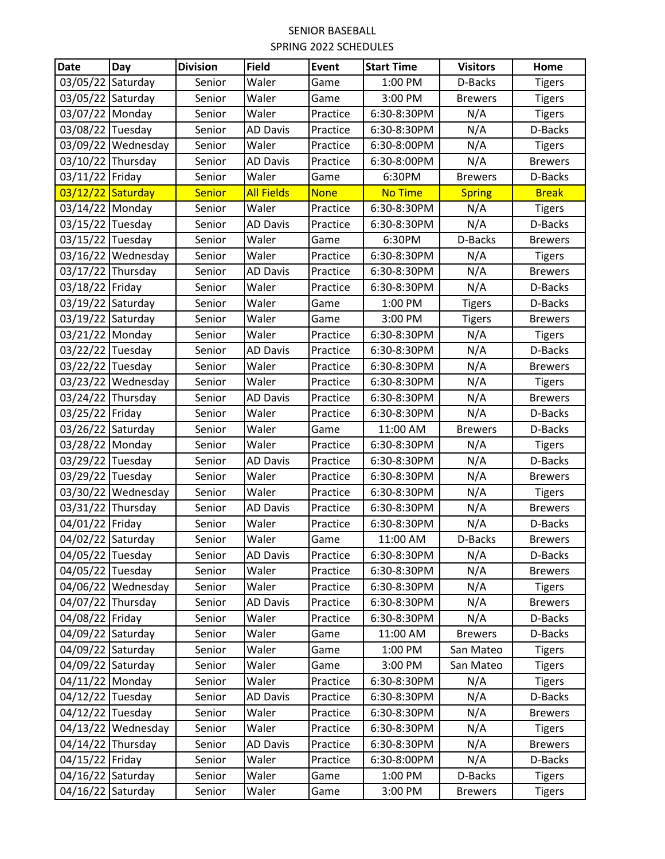## SENIOR BASEBALL SPRING 2022 SCHEDULES

| <b>Date</b>       | Day                | <b>Division</b> | <b>Field</b>      | Event       | <b>Start Time</b> | <b>Visitors</b> | Home           |
|-------------------|--------------------|-----------------|-------------------|-------------|-------------------|-----------------|----------------|
| 03/05/22 Saturday |                    | Senior          | Waler             | Game        | 1:00 PM           | D-Backs         | <b>Tigers</b>  |
| 03/05/22 Saturday |                    | Senior          | Waler             | Game        | 3:00 PM           | <b>Brewers</b>  | <b>Tigers</b>  |
| 03/07/22 Monday   |                    | Senior          | Waler             | Practice    | 6:30-8:30PM       | N/A             | <b>Tigers</b>  |
| 03/08/22 Tuesday  |                    | Senior          | <b>AD Davis</b>   | Practice    | 6:30-8:30PM       | N/A             | D-Backs        |
|                   | 03/09/22 Wednesday | Senior          | Waler             | Practice    | 6:30-8:00PM       | N/A             | <b>Tigers</b>  |
| 03/10/22 Thursday |                    | Senior          | <b>AD Davis</b>   | Practice    | 6:30-8:00PM       | N/A             | <b>Brewers</b> |
| 03/11/22 Friday   |                    | Senior          | Waler             | Game        | 6:30PM            | <b>Brewers</b>  | D-Backs        |
| 03/12/22 Saturday |                    | <b>Senior</b>   | <b>All Fields</b> | <b>None</b> | <b>No Time</b>    | <b>Spring</b>   | <b>Break</b>   |
| 03/14/22 Monday   |                    | Senior          | Waler             | Practice    | 6:30-8:30PM       | N/A             | <b>Tigers</b>  |
| 03/15/22 Tuesday  |                    | Senior          | <b>AD Davis</b>   | Practice    | 6:30-8:30PM       | N/A             | D-Backs        |
| 03/15/22 Tuesday  |                    | Senior          | Waler             | Game        | 6:30PM            | D-Backs         | <b>Brewers</b> |
|                   | 03/16/22 Wednesday | Senior          | Waler             | Practice    | 6:30-8:30PM       | N/A             | <b>Tigers</b>  |
| 03/17/22 Thursday |                    | Senior          | <b>AD Davis</b>   | Practice    | 6:30-8:30PM       | N/A             | <b>Brewers</b> |
| 03/18/22 Friday   |                    | Senior          | Waler             | Practice    | 6:30-8:30PM       | N/A             | D-Backs        |
| 03/19/22 Saturday |                    | Senior          | Waler             | Game        | 1:00 PM           | <b>Tigers</b>   | D-Backs        |
| 03/19/22 Saturday |                    | Senior          | Waler             | Game        | 3:00 PM           | <b>Tigers</b>   | <b>Brewers</b> |
| 03/21/22 Monday   |                    | Senior          | Waler             | Practice    | 6:30-8:30PM       | N/A             | <b>Tigers</b>  |
| 03/22/22 Tuesday  |                    | Senior          | <b>AD Davis</b>   | Practice    | 6:30-8:30PM       | N/A             | D-Backs        |
| 03/22/22 Tuesday  |                    | Senior          | Waler             | Practice    | 6:30-8:30PM       | N/A             | <b>Brewers</b> |
|                   | 03/23/22 Wednesday | Senior          | Waler             | Practice    | 6:30-8:30PM       | N/A             | <b>Tigers</b>  |
| 03/24/22 Thursday |                    | Senior          | <b>AD Davis</b>   | Practice    | 6:30-8:30PM       | N/A             | <b>Brewers</b> |
| 03/25/22 Friday   |                    | Senior          | Waler             | Practice    | 6:30-8:30PM       | N/A             | D-Backs        |
| 03/26/22 Saturday |                    | Senior          | Waler             | Game        | 11:00 AM          | <b>Brewers</b>  | D-Backs        |
| 03/28/22 Monday   |                    | Senior          | Waler             | Practice    | 6:30-8:30PM       | N/A             | <b>Tigers</b>  |
| 03/29/22 Tuesday  |                    | Senior          | <b>AD Davis</b>   | Practice    | 6:30-8:30PM       | N/A             | D-Backs        |
| 03/29/22 Tuesday  |                    | Senior          | Waler             | Practice    | 6:30-8:30PM       | N/A             | <b>Brewers</b> |
|                   | 03/30/22 Wednesday | Senior          | Waler             | Practice    | 6:30-8:30PM       | N/A             | <b>Tigers</b>  |
| 03/31/22 Thursday |                    | Senior          | <b>AD Davis</b>   | Practice    | 6:30-8:30PM       | N/A             | <b>Brewers</b> |
| 04/01/22 Friday   |                    | Senior          | Waler             | Practice    | 6:30-8:30PM       | N/A             | D-Backs        |
| 04/02/22 Saturday |                    | Senior          | Waler             | Game        | 11:00 AM          | D-Backs         | <b>Brewers</b> |
| 04/05/22 Tuesday  |                    | Senior          | <b>AD Davis</b>   | Practice    | 6:30-8:30PM       | N/A             | D-Backs        |
| 04/05/22 Tuesday  |                    | Senior          | Waler             | Practice    | 6:30-8:30PM       | N/A             | <b>Brewers</b> |
|                   | 04/06/22 Wednesday | Senior          | Waler             | Practice    | 6:30-8:30PM       | N/A             | <b>Tigers</b>  |
| 04/07/22 Thursday |                    | Senior          | AD Davis          | Practice    | 6:30-8:30PM       | N/A             | <b>Brewers</b> |
| 04/08/22 Friday   |                    | Senior          | Waler             | Practice    | 6:30-8:30PM       | N/A             | D-Backs        |
| 04/09/22 Saturday |                    | Senior          | Waler             | Game        | 11:00 AM          | <b>Brewers</b>  | D-Backs        |
| 04/09/22 Saturday |                    | Senior          | Waler             | Game        | 1:00 PM           | San Mateo       | <b>Tigers</b>  |
| 04/09/22 Saturday |                    | Senior          | Waler             | Game        | 3:00 PM           | San Mateo       | <b>Tigers</b>  |
| 04/11/22 Monday   |                    | Senior          | Waler             | Practice    | 6:30-8:30PM       | N/A             | <b>Tigers</b>  |
| 04/12/22 Tuesday  |                    | Senior          | <b>AD Davis</b>   | Practice    | 6:30-8:30PM       | N/A             | D-Backs        |
| 04/12/22 Tuesday  |                    | Senior          | Waler             | Practice    | 6:30-8:30PM       | N/A             | <b>Brewers</b> |
|                   | 04/13/22 Wednesday | Senior          | Waler             | Practice    | 6:30-8:30PM       | N/A             | <b>Tigers</b>  |
| 04/14/22 Thursday |                    | Senior          | <b>AD Davis</b>   | Practice    | 6:30-8:30PM       | N/A             | <b>Brewers</b> |
| 04/15/22 Friday   |                    | Senior          | Waler             | Practice    | 6:30-8:00PM       | N/A             | D-Backs        |
| 04/16/22 Saturday |                    | Senior          | Waler             | Game        | 1:00 PM           | D-Backs         | <b>Tigers</b>  |
| 04/16/22 Saturday |                    | Senior          | Waler             | Game        | 3:00 PM           | <b>Brewers</b>  | <b>Tigers</b>  |